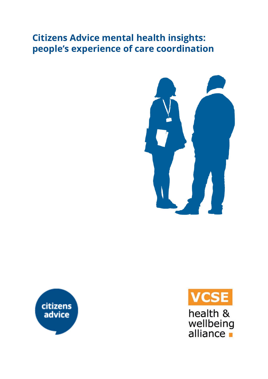# **Citizens Advice mental health insights: people's experience of care coordination**







health & wellbeing<br>alliance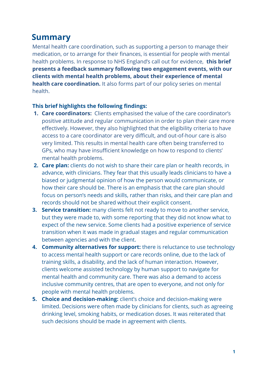# **Summary**

Mental health care coordination, such as supporting a person to manage their medication, or to arrange for their finances, is essential for people with mental health problems. In response to NHS England's call out for evidence, **this brief presents a feedback summary following two engagement events, with our clients with mental health problems, about their experience of mental health care coordination.** It also forms part of our policy series on mental health.

#### **This brief highlights the following findings:**

- **1. Care coordinators:**  Clients emphasised the value of the care coordinator's positive attitude and regular communication in order to plan their care more effectively. However, they also highlighted that the eligibility criteria to have access to a care coordinator are very difficult, and out-of-hour care is also very limited. This results in mental health care often being transferred to GPs, who may have insufficient knowledge on how to respond to clients' mental health problems.
- **2. Care plan:** clients do not wish to share their care plan or health records, in advance, with clinicians. They fear that this usually leads clinicians to have a biased or judgmental opinion of how the person would communicate, or how their care should be. There is an emphasis that the care plan should focus on person's needs and skills, rather than risks, and their care plan and records should not be shared without their explicit consent.
- **3. Service transition:** many clients felt not ready to move to another service, but they were made to, with some reporting that they did not know what to expect of the new service. Some clients had a positive experience of service transition when it was made in gradual stages and regular communication between agencies and with the client.
- **4. Community alternatives for support:** there is reluctance to use technology to access mental health support or care records online, due to the lack of training skills, a disability, and the lack of human interaction. However, clients welcome assisted technology by human support to navigate for mental health and community care. There was also a demand to access inclusive community centres, that are open to everyone, and not only for people with mental health problems.
- **5. Choice and decision-making:** client's choice and decision-making were limited. Decisions were often made by clinicians for clients, such as agreeing drinking level, smoking habits, or medication doses. It was reiterated that such decisions should be made in agreement with clients.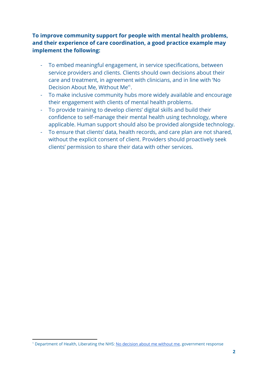#### **To improve community support for people with mental health problems, and their experience of care coordination, a good practice example may implement the following:**

- To embed meaningful engagement, in service specifications, between service providers and clients. Clients should own decisions about their care and treatment, in agreement with clinicians, and in line with 'No Decision About Me, Without Me<sup>1</sup>.
- To make inclusive community hubs more widely available and encourage their engagement with clients of mental health problems.
- To provide training to develop clients' digital skills and build their confidence to self-manage their mental health using technology, where applicable. Human support should also be provided alongside technology.
- To ensure that clients' data, health records, and care plan are not shared, without the explicit consent of client. Providers should proactively seek clients' permission to share their data with other services.

<sup>&</sup>lt;sup>1</sup> Department of Health, Liberating the NHS: [No decision about me without me](https://assets.publishing.service.gov.uk/government/uploads/system/uploads/attachment_data/file/216980/Liberating-the-NHS-No-decision-about-me-without-me-Government-response.pdf), government response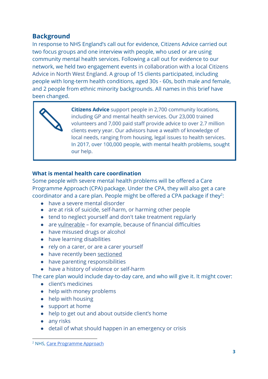## **Background**

In response to NHS England's call out for evidence, Citizens Advice carried out two focus groups and one interview with people, who used or are using community mental health services. Following a call out for evidence to our network, we held two engagement events in collaboration with a local Citizens Advice in North West England. A group of 15 clients participated, including people with long-term health conditions, aged 30s - 60s, both male and female, and 2 people from ethnic minority backgrounds. All names in this brief have been changed.

> **Citizens Advice** support people in 2,700 community locations, including GP and mental health services. Our 23,000 trained volunteers and 7,000 paid staff provide advice to over 2.7 million clients every year. Our advisors have a wealth of knowledge of local needs, ranging from housing, legal issues to health services. In 2017, over 100,000 people, with mental health problems, sought our help.

#### **What is mental health care coordination**

Some people with severe mental health problems will be offered a Care Programme Approach (CPA) package. Under the CPA, they will also get a care coordinator and a care plan. People might be offered a CPA package if they<sup>2</sup>:

- have a severe mental disorder
- are at risk of suicide, self-harm, or harming other people
- tend to neglect yourself and don't take treatment regularly
- are [vulnerable](https://www.nhs.uk/conditions/social-care-and-support/vulnerable-people-abuse-safeguarding/)  for example, because of financial difficulties
- have misused drugs or alcohol
- have learning disabilities
- rely on a carer, or are a carer yourself
- have recently been [sectioned](https://www.nhs.uk/NHSEngland/AboutNHSservices/mental-health-services-explained/Pages/TheMentalHealthAct.aspx)
- have parenting responsibilities
- have a history of violence or self-harm

The care plan would include day-to-day care, and who will give it. It might cover:

- client's medicines
- help with money problems
- help with housing
- support at home
- help to get out and about outside client's home
- any risks
- detail of what should happen in an emergency or crisis

<sup>2</sup> NHS, Care [Programme](https://www.nhs.uk/conditions/social-care-and-support/care-programme-approach/) Approach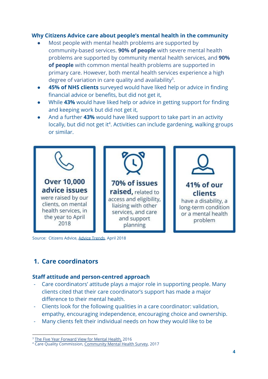#### **Why Citizens Advice care about people's mental health in the community**

- Most people with mental health problems are supported by community-based services. **90% of people** with severe mental health problems are supported by community mental health services, and **90% of people** with common mental health problems are supported in primary care. However, both mental health services experience a high degree of variation in care quality and availability<sup>3</sup>.
- **45% of NHS clients** surveyed would have liked help or advice in finding financial advice or benefits, but did not get it,
- While **43%** would have liked help or advice in getting support for finding and keeping work but did not get it,
- And a further 43% would have liked support to take part in an activity locally, but did not get it<sup>4</sup>. Activities can include gardening, walking groups or similar.



Source: Citizens Advice, [Advice Trends](https://public.tableau.com/profile/citizensadvice#!/vizhome/AdviceTrendsforGovernmentApril2018/Cover), April 2018

# **1. Care coordinators**

#### **Staff attitude and person-centred approach**

- Care coordinators' attitude plays a major role in supporting people. Many clients cited that their care coordinator's support has made a major difference to their mental health.
- Clients look for the following qualities in a care coordinator: validation, empathy, encouraging independence, encouraging choice and ownership.
- Many clients felt their individual needs on how they would like to be

<sup>&</sup>lt;sup>3</sup> [The Five Year Forward View for Mental Health,](https://www.england.nhs.uk/wp-content/uploads/2016/02/Mental-Health-Taskforce-FYFV-final.pdf) 2016

<sup>&</sup>lt;sup>4</sup> Care Quality Commission, [Community Mental Health Survey](http://www.cqc.org.uk/sites/default/files/20180515_cmh17_statisticalrelease.pdf), 2017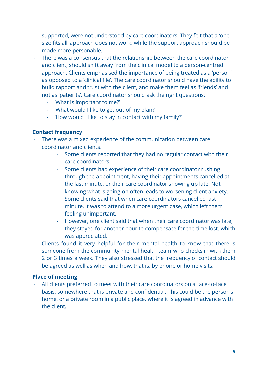supported, were not understood by care coordinators. They felt that a 'one size fits all' approach does not work, while the support approach should be made more personable.

- There was a consensus that the relationship between the care coordinator and client, should shift away from the clinical model to a person-centred approach. Clients emphasised the importance of being treated as a 'person', as opposed to a 'clinical file'. The care coordinator should have the ability to build rapport and trust with the client, and make them feel as 'friends' and not as 'patients'. Care coordinator should ask the right questions:
	- 'What is important to me?'
	- 'What would I like to get out of my plan?'
	- 'How would I like to stay in contact with my family?'

#### **Contact frequency**

- There was a mixed experience of the communication between care coordinator and clients.
	- Some clients reported that they had no regular contact with their care coordinators.
	- Some clients had experience of their care coordinator rushing through the appointment, having their appointments cancelled at the last minute, or their care coordinator showing up late. Not knowing what is going on often leads to worsening client anxiety. Some clients said that when care coordinators cancelled last minute, it was to attend to a more urgent case, which left them feeling unimportant.
	- However, one client said that when their care coordinator was late, they stayed for another hour to compensate for the time lost, which was appreciated.
- Clients found it very helpful for their mental health to know that there is someone from the community mental health team who checks in with them 2 or 3 times a week. They also stressed that the frequency of contact should be agreed as well as when and how, that is, by phone or home visits.

#### **Place of meeting**

- All clients preferred to meet with their care coordinators on a face-to-face basis, somewhere that is private and confidential. This could be the person's home, or a private room in a public place, where it is agreed in advance with the client.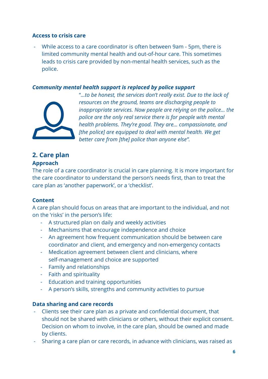#### **Access to crisis care**

- While access to a care coordinator is often between 9am - 5pm, there is limited community mental health and out-of-hour care. This sometimes leads to crisis care provided by non-mental health services, such as the police.

#### *Community mental health support is replaced by police support*



"*...to be honest, the services don't really exist. Due to the lack of resources on the ground, teams are discharging people to inappropriate services. Now people are relying on the police… the police are the only real service there is for people with mental health problems. They're good. They are... compassionate, and [the police] are equipped to deal with mental health. We get better care from [the] police than anyone else".*

#### **2. Care plan Approach**

The role of a care coordinator is crucial in care planning. It is more important for the care coordinator to understand the person's needs first, than to treat the care plan as 'another paperwork', or a 'checklist'.

#### **Content**

A care plan should focus on areas that are important to the individual, and not on the 'risks' in the person's life:

- A structured plan on daily and weekly activities
- Mechanisms that encourage independence and choice
- An agreement how frequent communication should be between care coordinator and client, and emergency and non-emergency contacts
- Medication agreement between client and clinicians, where self-management and choice are supported
- Family and relationships
- Faith and spirituality
- Education and training opportunities
- A person's skills, strengths and community activities to pursue

#### **Data sharing and care records**

- Clients see their care plan as a private and confidential document, that should not be shared with clinicians or others, without their explicit consent. Decision on whom to involve, in the care plan, should be owned and made by clients.
- Sharing a care plan or care records, in advance with clinicians, was raised as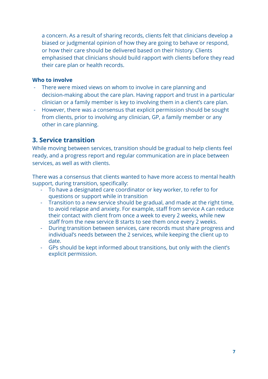a concern. As a result of sharing records, clients felt that clinicians develop a biased or judgmental opinion of how they are going to behave or respond, or how their care should be delivered based on their history. Clients emphasised that clinicians should build rapport with clients before they read their care plan or health records.

#### **Who to involve**

- There were mixed views on whom to involve in care planning and decision-making about the care plan. Having rapport and trust in a particular clinician or a family member is key to involving them in a client's care plan.
- However, there was a consensus that explicit permission should be sought from clients, prior to involving any clinician, GP, a family member or any other in care planning.

## **3. Service transition**

While moving between services, transition should be gradual to help clients feel ready, and a progress report and regular communication are in place between services, as well as with clients.

There was a consensus that clients wanted to have more access to mental health support, during transition, specifically:

- To have a designated care coordinator or key worker, to refer to for questions or support while in transition
- Transition to a new service should be gradual, and made at the right time, to avoid relapse and anxiety. For example, staff from service A can reduce their contact with client from once a week to every 2 weeks, while new staff from the new service B starts to see them once every 2 weeks.
- During transition between services, care records must share progress and individual's needs between the 2 services, while keeping the client up to date.
- GPs should be kept informed about transitions, but only with the client's explicit permission.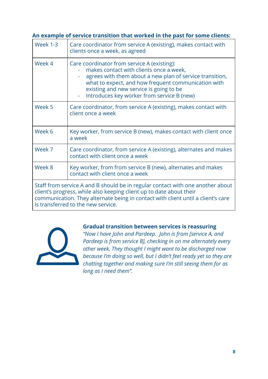| An example of service transition that worked in the past for some clients: |                                                                                                                                                                                                                                                                                                    |
|----------------------------------------------------------------------------|----------------------------------------------------------------------------------------------------------------------------------------------------------------------------------------------------------------------------------------------------------------------------------------------------|
| <b>Week 1-3</b>                                                            | Care coordinator from service A (existing), makes contact with<br>clients once a week, as agreed                                                                                                                                                                                                   |
| Week 4                                                                     | Care coordinator from service A (existing):<br>makes contact with clients once a week,<br>agrees with them about a new plan of service transition,<br>what to expect, and how frequent communication with<br>existing and new service is going to be<br>Introduces key worker from service B (new) |
| Week 5                                                                     | Care coordinator, from service A (existing), makes contact with<br>client once a week                                                                                                                                                                                                              |
| Week 6                                                                     | Key worker, from service B (new), makes contact with client once<br>a week                                                                                                                                                                                                                         |
| Week 7                                                                     | Care coordinator, from service A (existing), alternates and makes<br>contact with client once a week                                                                                                                                                                                               |
| Week 8                                                                     | Key worker, from from service B (new), alternates and makes<br>contact with client once a week                                                                                                                                                                                                     |
|                                                                            | Staff from service A and B should be in regular contact with one another about<br>client's progress, while also keeping client up to date about their<br>communication. They alternate being in contact with client until a client's care<br>is transferred to the new service.                    |



#### **Gradual transition between services is reassuring**

*"Now I have John and Pardeep. John is from [service A, and Pardeep is from service B], checking in on me alternately every other week. They thought I might want to be discharged now because I'm doing so well, but I didn't feel ready yet so they are chatting together and making sure I'm still seeing them for as long as I need them".*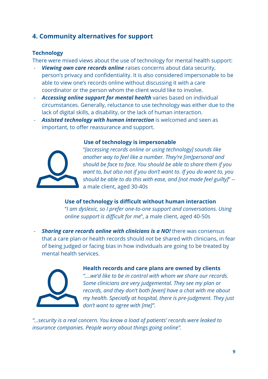## **4. Community alternatives for support**

#### **Technology**

There were mixed views about the use of technology for mental health support:

- *Viewing own care records online* raises concerns about data security, person's privacy and confidentiality. It is also considered impersonable to be able to view one's records online without discussing it with a care coordinator or the person whom the client would like to involve.
- *Accessing online support for mental health* varies based on individual circumstances. Generally, reluctance to use technology was either due to the lack of digital skills, a disability, or the lack of human interaction.
- Assisted technology with human interaction is welcomed and seen as important, to offer reassurance and support.



#### **Use of technology is impersonable**

"*[accessing records online or using technology] sounds like another way to feel like a number. They're [im]personal and should be face to face. You should be able to share them if you want to, but also not if you don't want to. If you do want to, you should be able to do this with ease, and [not made feel guilty]*" - a male client, aged 30-40s

**Use of technology is difficult without human interaction** "*I am dyslexic, so I prefer one-to-one support and conversations. Using online support is difficult for me*", a male client, aged 40-50s

*Sharing care records online with clinicians is a NO!* **there was consensus** that a care plan or health records should *not* be shared with clinicians, in fear of being judged or facing bias in how individuals are going to be treated by mental health services.



#### **Health records and care plans are owned by clients**

*"....we'd like to be in control with whom we share our records. Some clinicians are very judgemental. They see my plan or records, and they don't both [even] have a chat with me about my health. Specially at hospital, there is pre-judgment. They just don't want to agree with [me]".*

*"...security is a real concern. You know a load of patients' records were leaked to insurance companies. People worry about things going online".*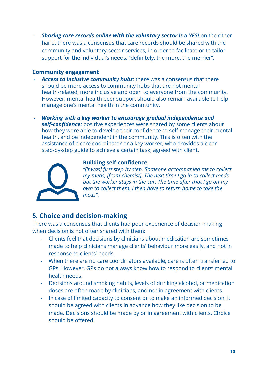*Sharing care records online with the voluntary sector is a YES!* **on the other** hand, there was a consensus that care records should be shared with the community and voluntary-sector services, in order to facilitate or to tailor support for the individual's needs, "definitely, the more, the merrier".

#### **Community engagement**

- Access to *inclusive community hubs*: there was a consensus that there should be more access to community hubs that are not mental health-related, more inclusive and open to everyone from the community. However, mental health peer support should also remain available to help manage one's mental health in the community.
- *- Working with a key worker to encourage gradual independence and self-confidence:* positive experiences were shared by some clients about how they were able to develop their confidence to self-manage their mental health, and be independent in the community. This is often with the assistance of a care coordinator or a key worker, who provides a clear step-by-step guide to achieve a certain task, agreed with client.



#### **Building self-confidence**

*"[it was] first step by step. Someone accompanied me to collect my meds, [from chemist]. The next time I go in to collect meds but the worker stays in the car. The time after that I go on my own to collect them. I then have to return home to take the meds".*

### **5. Choice and decision-making**

There was a consensus that clients had poor experience of decision-making when decision is not often shared with them:

- Clients feel that decisions by clinicians about medication are sometimes made to help clinicians manage clients' behaviour more easily, and not in response to clients' needs.
- When there are no care coordinators available, care is often transferred to GPs. However, GPs do not always know how to respond to clients' mental health needs.
- Decisions around smoking habits, levels of drinking alcohol, or medication doses are often made by clinicians, and not in agreement with clients.
- In case of limited capacity to consent or to make an informed decision, it should be agreed with clients in advance how they like decision to be made. Decisions should be made by or in agreement with clients. Choice should be offered.